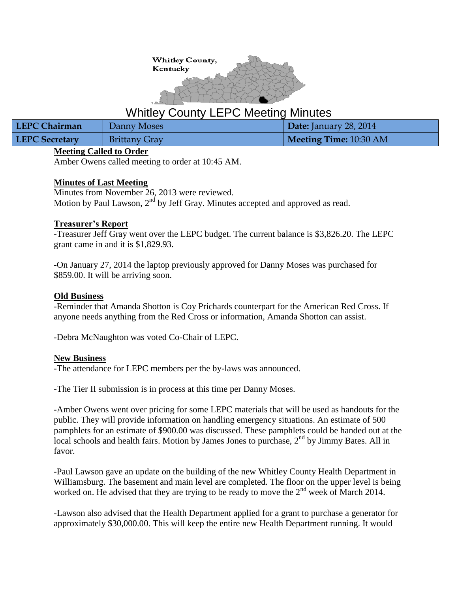

# Whitley County LEPC Meeting Minutes

| LEPC Chairman         | Danny Moses          | Date: January 28, 2014 |
|-----------------------|----------------------|------------------------|
| <b>LEPC Secretary</b> | <b>Brittany Gray</b> | Meeting Time: 10:30 AM |

## **Meeting Called to Order**

Amber Owens called meeting to order at 10:45 AM.

## **Minutes of Last Meeting**

Minutes from November 26, 2013 were reviewed. Motion by Paul Lawson,  $2<sup>nd</sup>$  by Jeff Gray. Minutes accepted and approved as read.

## **Treasurer's Report**

-Treasurer Jeff Gray went over the LEPC budget. The current balance is \$3,826.20. The LEPC grant came in and it is \$1,829.93.

-On January 27, 2014 the laptop previously approved for Danny Moses was purchased for \$859.00. It will be arriving soon.

## **Old Business**

-Reminder that Amanda Shotton is Coy Prichards counterpart for the American Red Cross. If anyone needs anything from the Red Cross or information, Amanda Shotton can assist.

-Debra McNaughton was voted Co-Chair of LEPC.

#### **New Business**

-The attendance for LEPC members per the by-laws was announced.

-The Tier II submission is in process at this time per Danny Moses.

-Amber Owens went over pricing for some LEPC materials that will be used as handouts for the public. They will provide information on handling emergency situations. An estimate of 500 pamphlets for an estimate of \$900.00 was discussed. These pamphlets could be handed out at the local schools and health fairs. Motion by James Jones to purchase,  $2<sup>nd</sup>$  by Jimmy Bates. All in favor.

-Paul Lawson gave an update on the building of the new Whitley County Health Department in Williamsburg. The basement and main level are completed. The floor on the upper level is being worked on. He advised that they are trying to be ready to move the  $2<sup>nd</sup>$  week of March 2014.

-Lawson also advised that the Health Department applied for a grant to purchase a generator for approximately \$30,000.00. This will keep the entire new Health Department running. It would